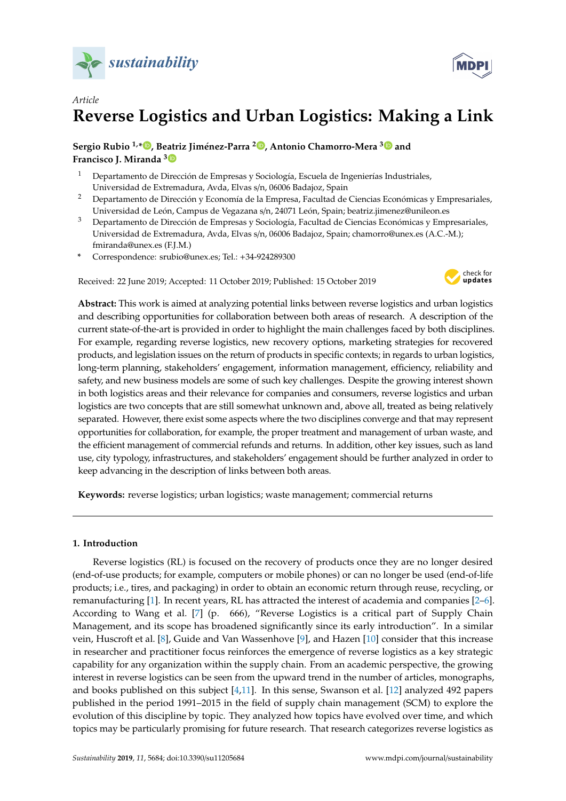



# *Article* **Reverse Logistics and Urban Logistics: Making a Link**

**Sergio Rubio 1,[\\*](https://orcid.org/0000-0002-7787-1387) , Beatriz Jiménez-Parra <sup>2</sup> [,](https://orcid.org/0000-0003-0496-6980) Antonio Chamorro-Mera [3](https://orcid.org/0000-0002-6531-919X) and Francisco J. Miranda [3](https://orcid.org/0000-0001-6810-1359)**

- <sup>1</sup> Departamento de Dirección de Empresas y Sociología, Escuela de Ingenierías Industriales, Universidad de Extremadura, Avda, Elvas s/n, 06006 Badajoz, Spain
- <sup>2</sup> Departamento de Dirección y Economía de la Empresa, Facultad de Ciencias Económicas y Empresariales, Universidad de León, Campus de Vegazana s/n, 24071 León, Spain; beatriz.jimenez@unileon.es
- <sup>3</sup> Departamento de Dirección de Empresas y Sociología, Facultad de Ciencias Económicas y Empresariales, Universidad de Extremadura, Avda, Elvas s/n, 06006 Badajoz, Spain; chamorro@unex.es (A.C.-M.); fmiranda@unex.es (F.J.M.)
- **\*** Correspondence: srubio@unex.es; Tel.: +34-924289300

Received: 22 June 2019; Accepted: 11 October 2019; Published: 15 October 2019



**Abstract:** This work is aimed at analyzing potential links between reverse logistics and urban logistics and describing opportunities for collaboration between both areas of research. A description of the current state-of-the-art is provided in order to highlight the main challenges faced by both disciplines. For example, regarding reverse logistics, new recovery options, marketing strategies for recovered products, and legislation issues on the return of products in specific contexts; in regards to urban logistics, long-term planning, stakeholders' engagement, information management, efficiency, reliability and safety, and new business models are some of such key challenges. Despite the growing interest shown in both logistics areas and their relevance for companies and consumers, reverse logistics and urban logistics are two concepts that are still somewhat unknown and, above all, treated as being relatively separated. However, there exist some aspects where the two disciplines converge and that may represent opportunities for collaboration, for example, the proper treatment and management of urban waste, and the efficient management of commercial refunds and returns. In addition, other key issues, such as land use, city typology, infrastructures, and stakeholders' engagement should be further analyzed in order to keep advancing in the description of links between both areas.

**Keywords:** reverse logistics; urban logistics; waste management; commercial returns

## **1. Introduction**

Reverse logistics (RL) is focused on the recovery of products once they are no longer desired (end-of-use products; for example, computers or mobile phones) or can no longer be used (end-of-life products; i.e., tires, and packaging) in order to obtain an economic return through reuse, recycling, or remanufacturing [\[1\]](#page-12-0). In recent years, RL has attracted the interest of academia and companies [\[2–](#page-12-1)[6\]](#page-12-2). According to Wang et al. [\[7\]](#page-12-3) (p. 666), "Reverse Logistics is a critical part of Supply Chain Management, and its scope has broadened significantly since its early introduction". In a similar vein, Huscroft et al. [\[8\]](#page-12-4), Guide and Van Wassenhove [\[9\]](#page-12-5), and Hazen [\[10\]](#page-12-6) consider that this increase in researcher and practitioner focus reinforces the emergence of reverse logistics as a key strategic capability for any organization within the supply chain. From an academic perspective, the growing interest in reverse logistics can be seen from the upward trend in the number of articles, monographs, and books published on this subject [\[4,](#page-12-7)[11\]](#page-12-8). In this sense, Swanson et al. [\[12\]](#page-13-0) analyzed 492 papers published in the period 1991–2015 in the field of supply chain management (SCM) to explore the evolution of this discipline by topic. They analyzed how topics have evolved over time, and which topics may be particularly promising for future research. That research categorizes reverse logistics as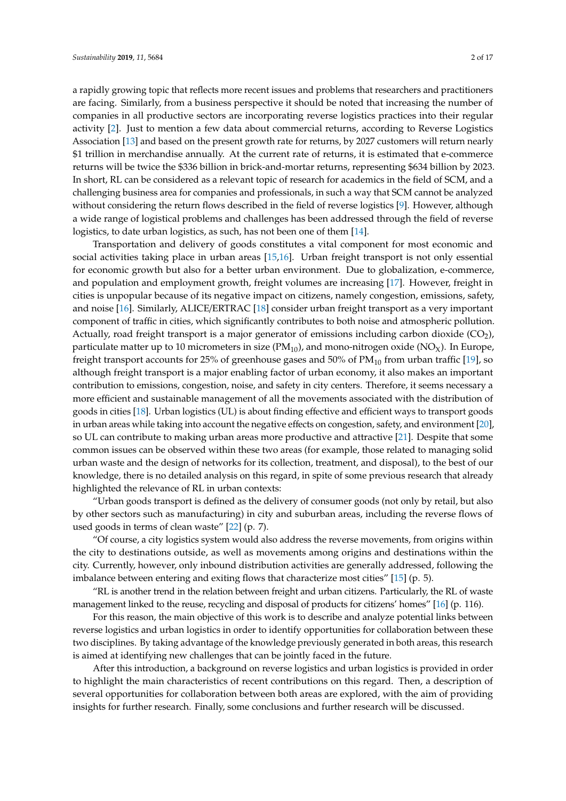a rapidly growing topic that reflects more recent issues and problems that researchers and practitioners are facing. Similarly, from a business perspective it should be noted that increasing the number of companies in all productive sectors are incorporating reverse logistics practices into their regular activity [\[2\]](#page-12-1). Just to mention a few data about commercial returns, according to Reverse Logistics Association [\[13\]](#page-13-1) and based on the present growth rate for returns, by 2027 customers will return nearly \$1 trillion in merchandise annually. At the current rate of returns, it is estimated that e-commerce returns will be twice the \$336 billion in brick-and-mortar returns, representing \$634 billion by 2023. In short, RL can be considered as a relevant topic of research for academics in the field of SCM, and a challenging business area for companies and professionals, in such a way that SCM cannot be analyzed without considering the return flows described in the field of reverse logistics [\[9\]](#page-12-5). However, although a wide range of logistical problems and challenges has been addressed through the field of reverse logistics, to date urban logistics, as such, has not been one of them [\[14\]](#page-13-2).

Transportation and delivery of goods constitutes a vital component for most economic and social activities taking place in urban areas [\[15](#page-13-3)[,16\]](#page-13-4). Urban freight transport is not only essential for economic growth but also for a better urban environment. Due to globalization, e-commerce, and population and employment growth, freight volumes are increasing [\[17\]](#page-13-5). However, freight in cities is unpopular because of its negative impact on citizens, namely congestion, emissions, safety, and noise [\[16\]](#page-13-4). Similarly, ALICE/ERTRAC [\[18\]](#page-13-6) consider urban freight transport as a very important component of traffic in cities, which significantly contributes to both noise and atmospheric pollution. Actually, road freight transport is a major generator of emissions including carbon dioxide (CO2), particulate matter up to 10 micrometers in size  $(PM_{10})$ , and mono-nitrogen oxide  $(NO<sub>X</sub>)$ . In Europe, freight transport accounts for 25% of greenhouse gases and 50% of  $PM_{10}$  from urban traffic [\[19\]](#page-13-7), so although freight transport is a major enabling factor of urban economy, it also makes an important contribution to emissions, congestion, noise, and safety in city centers. Therefore, it seems necessary a more efficient and sustainable management of all the movements associated with the distribution of goods in cities [\[18\]](#page-13-6). Urban logistics (UL) is about finding effective and efficient ways to transport goods in urban areas while taking into account the negative effects on congestion, safety, and environment [\[20\]](#page-13-8), so UL can contribute to making urban areas more productive and attractive [\[21\]](#page-13-9). Despite that some common issues can be observed within these two areas (for example, those related to managing solid urban waste and the design of networks for its collection, treatment, and disposal), to the best of our knowledge, there is no detailed analysis on this regard, in spite of some previous research that already highlighted the relevance of RL in urban contexts:

"Urban goods transport is defined as the delivery of consumer goods (not only by retail, but also by other sectors such as manufacturing) in city and suburban areas, including the reverse flows of used goods in terms of clean waste" [\[22\]](#page-13-10) (p. 7).

"Of course, a city logistics system would also address the reverse movements, from origins within the city to destinations outside, as well as movements among origins and destinations within the city. Currently, however, only inbound distribution activities are generally addressed, following the imbalance between entering and exiting flows that characterize most cities"  $[15]$  (p. 5).

"RL is another trend in the relation between freight and urban citizens. Particularly, the RL of waste management linked to the reuse, recycling and disposal of products for citizens' homes" [\[16\]](#page-13-4) (p. 116).

For this reason, the main objective of this work is to describe and analyze potential links between reverse logistics and urban logistics in order to identify opportunities for collaboration between these two disciplines. By taking advantage of the knowledge previously generated in both areas, this research is aimed at identifying new challenges that can be jointly faced in the future.

After this introduction, a background on reverse logistics and urban logistics is provided in order to highlight the main characteristics of recent contributions on this regard. Then, a description of several opportunities for collaboration between both areas are explored, with the aim of providing insights for further research. Finally, some conclusions and further research will be discussed.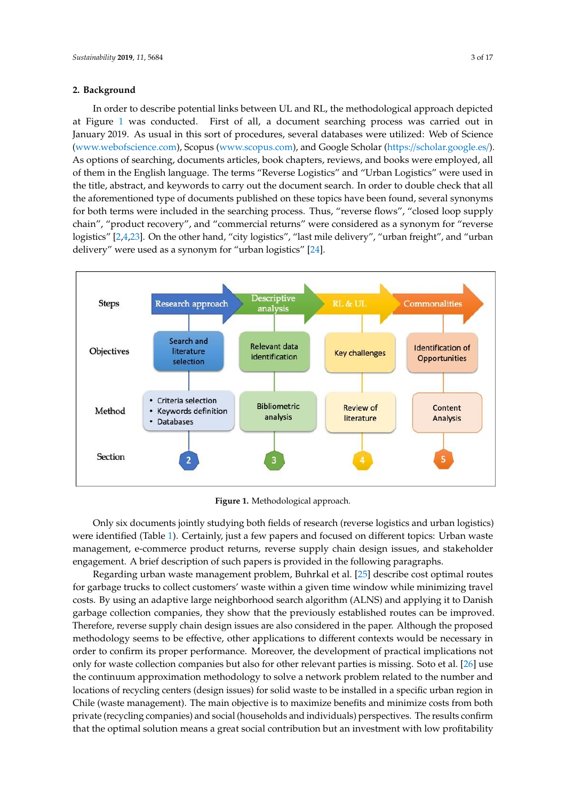## **2. Background Sustainability <b>***Sustainability 3 of 1809*, *111*, x FOR PEER REVIEW 3 of 1809  $\alpha$

In order to describe potential links between UL and RL, the methodological approach depicted In order to describe potential links between UL and RL, the methodological approach depicted at Figure [1](#page-2-0) was conducted. First of all, a document searching process was carried out in January 2019. As usual in this sort of procedures, several databases were utilized: Web of Science 2019. As usual in this sort of procedures, several databases were utilized: Web of Science [\(www.webofscience.com\)](www.webofscience.com), Scopus [\(www.scopus.com\)](www.scopus.com), and Google Scholar (https://[scholar.google.es](https://scholar.google.es/)/). (www.webofscience.com), Scopus (www.scopus.com), and Google Scholar As options of searching, documents articles, book chapters, reviews, and books were employed, all of them in the English language. The terms "Reverse Logistics" and "Urban Logistics" were used in the title, abstract, and keywords to carry out the document search. In order to double check that all the aforementioned type of documents published on these topics have been found, several synonyms for both terms were included in the searching process. Thus, "reverse flows", "closed loop supply chain", "product recovery", and "commercial returns" were considered as a synonym for "reverse logistics" [\[2,](#page-12-1)[4,](#page-12-7)[23\]](#page-13-11). On the other hand, "city logistics", "last mile delivery", "urban freight", and "urban delivery" were used as a synonym for "urban logistics" [\[24\]](#page-13-12).

<span id="page-2-0"></span>

**Figure 1.** Methodological approach. **Figure 1.** Methodological approach.

Only six documents jointly studying both fields of research (reverse logistics and urban Only six documents jointly studying both fields of research (reverse logistics and urban logistics) were identi[fie](#page-3-0)d (Table 1). Certainly, just a few papers and focused on different topics: Urban waste management, e-commerce product returns, reverse supply chain design issues, and stakeholder engagement. A brief description of such papers is provided in the following paragraphs.

Regarding urban waste management problem, Buhrkal et al. [25] describe cost optimal routes Regarding urban waste management problem, Buhrkal et al. [\[25\]](#page-13-13) describe cost optimal routes for garbage trucks to collect customers' waste within a given time window while minimizing travel for garbage trucks to collect customers' waste within a given time window while minimizing travel costs. By using an adaptive large neighborhood search algorithm (ALNS) and applying it to Danish costs. By using an adaptive large neighborhood search algorithm (ALNS) and applying it to Danish garbage collection companies, they show that the previously established routes can be improved. garbage collection companies, they show that the previously established routes can be improved. Therefore, reverse supply chain design issues are also considered in the paper. Although the Therefore, reverse supply chain design issues are also considered in the paper. Although the proposed methodology seems to be effective, other applications to different contexts would be necessary in order to confirm its proper performance. Moreover, the development of practical implications not only for waste collection companies but also for other relevant parties is missing. Soto et al. [\[26\]](#page-13-14) use the continuum approximation methodology to solve a network problem related to the number and locations of recycling centers (design issues) for solid waste to be installed in a specific urban region in Chile (waste management). The main objective is to maximize benefits and minimize costs from both private (recycling companies) and social (households and individuals) perspectives. The results confirm that the optimal solution means a great social contribution but an investment with low profitability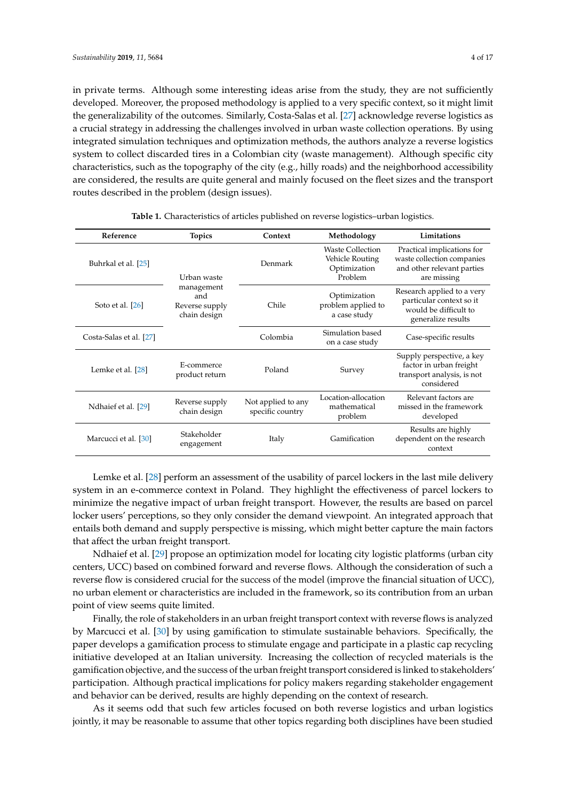in private terms. Although some interesting ideas arise from the study, they are not sufficiently developed. Moreover, the proposed methodology is applied to a very specific context, so it might limit the generalizability of the outcomes. Similarly, Costa-Salas et al. [\[27\]](#page-13-15) acknowledge reverse logistics as a crucial strategy in addressing the challenges involved in urban waste collection operations. By using integrated simulation techniques and optimization methods, the authors analyze a reverse logistics system to collect discarded tires in a Colombian city (waste management). Although specific city characteristics, such as the topography of the city (e.g., hilly roads) and the neighborhood accessibility are considered, the results are quite general and mainly focused on the fleet sizes and the transport routes described in the problem (design issues).

<span id="page-3-0"></span>

| Reference               | <b>Topics</b>                                       | Context                                | Methodology                                                    | Limitations                                                                                           |
|-------------------------|-----------------------------------------------------|----------------------------------------|----------------------------------------------------------------|-------------------------------------------------------------------------------------------------------|
| Buhrkal et al. [25]     | Urban waste                                         | Denmark                                | Waste Collection<br>Vehicle Routing<br>Optimization<br>Problem | Practical implications for<br>waste collection companies<br>and other relevant parties<br>are missing |
| Soto et al. [26]        | management<br>and<br>Reverse supply<br>chain design | Chile                                  | Optimization<br>problem applied to<br>a case study             | Research applied to a very<br>particular context so it<br>would be difficult to<br>generalize results |
| Costa-Salas et al. [27] |                                                     | Colombia                               | Simulation based<br>on a case study                            | Case-specific results                                                                                 |
| Lemke et al. [28]       | E-commerce<br>product return                        | Poland                                 | Survey                                                         | Supply perspective, a key<br>factor in urban freight<br>transport analysis, is not<br>considered      |
| Ndhaief et al. [29]     | Reverse supply<br>chain design                      | Not applied to any<br>specific country | Location-allocation<br>mathematical<br>problem                 | Relevant factors are<br>missed in the framework<br>developed                                          |
| Marcucci et al. [30]    | Stakeholder<br>engagement                           | Italy                                  | Gamification                                                   | Results are highly<br>dependent on the research<br>context                                            |

| <b>Table 1.</b> Characteristics of articles published on reverse logistics-urban logistics. |
|---------------------------------------------------------------------------------------------|
|---------------------------------------------------------------------------------------------|

Lemke et al. [\[28\]](#page-13-16) perform an assessment of the usability of parcel lockers in the last mile delivery system in an e-commerce context in Poland. They highlight the effectiveness of parcel lockers to minimize the negative impact of urban freight transport. However, the results are based on parcel locker users' perceptions, so they only consider the demand viewpoint. An integrated approach that entails both demand and supply perspective is missing, which might better capture the main factors that affect the urban freight transport.

Ndhaief et al. [\[29\]](#page-13-17) propose an optimization model for locating city logistic platforms (urban city centers, UCC) based on combined forward and reverse flows. Although the consideration of such a reverse flow is considered crucial for the success of the model (improve the financial situation of UCC), no urban element or characteristics are included in the framework, so its contribution from an urban point of view seems quite limited.

Finally, the role of stakeholders in an urban freight transport context with reverse flows is analyzed by Marcucci et al. [\[30\]](#page-13-18) by using gamification to stimulate sustainable behaviors. Specifically, the paper develops a gamification process to stimulate engage and participate in a plastic cap recycling initiative developed at an Italian university. Increasing the collection of recycled materials is the gamification objective, and the success of the urban freight transport considered is linked to stakeholders' participation. Although practical implications for policy makers regarding stakeholder engagement and behavior can be derived, results are highly depending on the context of research.

As it seems odd that such few articles focused on both reverse logistics and urban logistics jointly, it may be reasonable to assume that other topics regarding both disciplines have been studied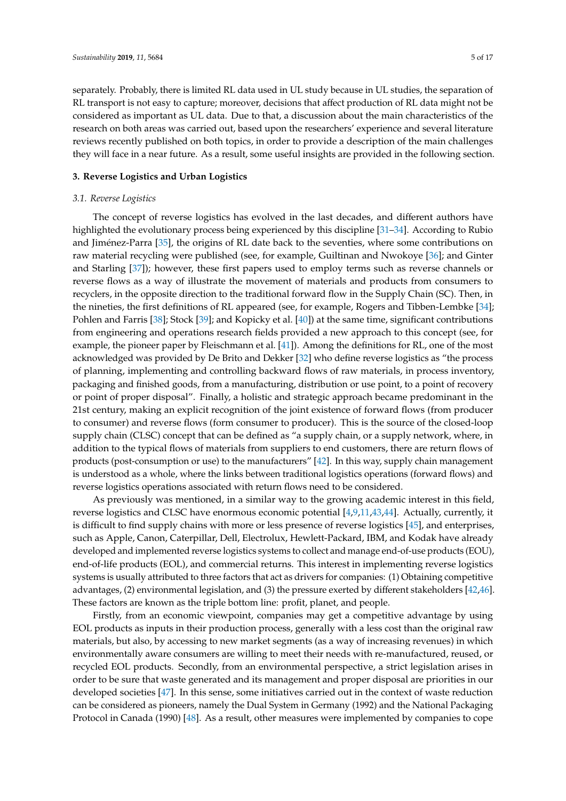separately. Probably, there is limited RL data used in UL study because in UL studies, the separation of RL transport is not easy to capture; moreover, decisions that affect production of RL data might not be considered as important as UL data. Due to that, a discussion about the main characteristics of the research on both areas was carried out, based upon the researchers' experience and several literature reviews recently published on both topics, in order to provide a description of the main challenges they will face in a near future. As a result, some useful insights are provided in the following section.

## **3. Reverse Logistics and Urban Logistics**

#### *3.1. Reverse Logistics*

The concept of reverse logistics has evolved in the last decades, and different authors have highlighted the evolutionary process being experienced by this discipline [\[31–](#page-13-19)[34\]](#page-13-20). According to Rubio and Jiménez-Parra [\[35\]](#page-13-21), the origins of RL date back to the seventies, where some contributions on raw material recycling were published (see, for example, Guiltinan and Nwokoye [\[36\]](#page-13-22); and Ginter and Starling [\[37\]](#page-14-0)); however, these first papers used to employ terms such as reverse channels or reverse flows as a way of illustrate the movement of materials and products from consumers to recyclers, in the opposite direction to the traditional forward flow in the Supply Chain (SC). Then, in the nineties, the first definitions of RL appeared (see, for example, Rogers and Tibben-Lembke [\[34\]](#page-13-20); Pohlen and Farris [\[38\]](#page-14-1); Stock [\[39\]](#page-14-2); and Kopicky et al. [\[40\]](#page-14-3)) at the same time, significant contributions from engineering and operations research fields provided a new approach to this concept (see, for example, the pioneer paper by Fleischmann et al. [\[41\]](#page-14-4)). Among the definitions for RL, one of the most acknowledged was provided by De Brito and Dekker [\[32\]](#page-13-23) who define reverse logistics as "the process of planning, implementing and controlling backward flows of raw materials, in process inventory, packaging and finished goods, from a manufacturing, distribution or use point, to a point of recovery or point of proper disposal". Finally, a holistic and strategic approach became predominant in the 21st century, making an explicit recognition of the joint existence of forward flows (from producer to consumer) and reverse flows (form consumer to producer). This is the source of the closed-loop supply chain (CLSC) concept that can be defined as "a supply chain, or a supply network, where, in addition to the typical flows of materials from suppliers to end customers, there are return flows of products (post-consumption or use) to the manufacturers" [\[42\]](#page-14-5). In this way, supply chain management is understood as a whole, where the links between traditional logistics operations (forward flows) and reverse logistics operations associated with return flows need to be considered.

As previously was mentioned, in a similar way to the growing academic interest in this field, reverse logistics and CLSC have enormous economic potential [\[4,](#page-12-7)[9](#page-12-5)[,11,](#page-12-8)[43,](#page-14-6)[44\]](#page-14-7). Actually, currently, it is difficult to find supply chains with more or less presence of reverse logistics [\[45\]](#page-14-8), and enterprises, such as Apple, Canon, Caterpillar, Dell, Electrolux, Hewlett-Packard, IBM, and Kodak have already developed and implemented reverse logistics systems to collect and manage end-of-use products (EOU), end-of-life products (EOL), and commercial returns. This interest in implementing reverse logistics systems is usually attributed to three factors that act as drivers for companies: (1) Obtaining competitive advantages, (2) environmental legislation, and (3) the pressure exerted by different stakeholders [\[42](#page-14-5)[,46\]](#page-14-9). These factors are known as the triple bottom line: profit, planet, and people.

Firstly, from an economic viewpoint, companies may get a competitive advantage by using EOL products as inputs in their production process, generally with a less cost than the original raw materials, but also, by accessing to new market segments (as a way of increasing revenues) in which environmentally aware consumers are willing to meet their needs with re-manufactured, reused, or recycled EOL products. Secondly, from an environmental perspective, a strict legislation arises in order to be sure that waste generated and its management and proper disposal are priorities in our developed societies [\[47\]](#page-14-10). In this sense, some initiatives carried out in the context of waste reduction can be considered as pioneers, namely the Dual System in Germany (1992) and the National Packaging Protocol in Canada (1990) [\[48\]](#page-14-11). As a result, other measures were implemented by companies to cope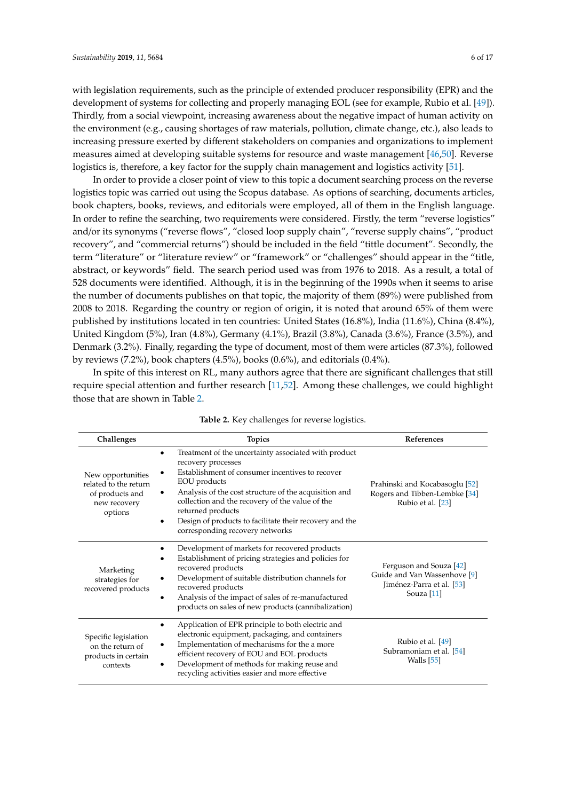with legislation requirements, such as the principle of extended producer responsibility (EPR) and the development of systems for collecting and properly managing EOL (see for example, Rubio et al. [\[49\]](#page-14-12)). Thirdly, from a social viewpoint, increasing awareness about the negative impact of human activity on the environment (e.g., causing shortages of raw materials, pollution, climate change, etc.), also leads to increasing pressure exerted by different stakeholders on companies and organizations to implement measures aimed at developing suitable systems for resource and waste management [\[46](#page-14-9)[,50\]](#page-14-13). Reverse logistics is, therefore, a key factor for the supply chain management and logistics activity [\[51\]](#page-14-14).

In order to provide a closer point of view to this topic a document searching process on the reverse logistics topic was carried out using the Scopus database. As options of searching, documents articles, book chapters, books, reviews, and editorials were employed, all of them in the English language. In order to refine the searching, two requirements were considered. Firstly, the term "reverse logistics" and/or its synonyms ("reverse flows", "closed loop supply chain", "reverse supply chains", "product recovery", and "commercial returns") should be included in the field "tittle document". Secondly, the term "literature" or "literature review" or "framework" or "challenges" should appear in the "title, abstract, or keywords" field. The search period used was from 1976 to 2018. As a result, a total of 528 documents were identified. Although, it is in the beginning of the 1990s when it seems to arise the number of documents publishes on that topic, the majority of them (89%) were published from 2008 to 2018. Regarding the country or region of origin, it is noted that around 65% of them were published by institutions located in ten countries: United States (16.8%), India (11.6%), China (8.4%), United Kingdom (5%), Iran (4.8%), Germany (4.1%), Brazil (3.8%), Canada (3.6%), France (3.5%), and Denmark (3.2%). Finally, regarding the type of document, most of them were articles (87.3%), followed by reviews (7.2%), book chapters (4.5%), books (0.6%), and editorials (0.4%).

In spite of this interest on RL, many authors agree that there are significant challenges that still require special attention and further research [\[11,](#page-12-8)[52\]](#page-14-15). Among these challenges, we could highlight those that are shown in Table [2.](#page-5-0)

<span id="page-5-0"></span>

| Challenges                                                                               | <b>Topics</b>                                                                                                                                                                                                                                                                                                                                                                                                    | <b>References</b>                                                                                  |
|------------------------------------------------------------------------------------------|------------------------------------------------------------------------------------------------------------------------------------------------------------------------------------------------------------------------------------------------------------------------------------------------------------------------------------------------------------------------------------------------------------------|----------------------------------------------------------------------------------------------------|
| New opportunities<br>related to the return<br>of products and<br>new recovery<br>options | Treatment of the uncertainty associated with product<br>$\bullet$<br>recovery processes<br>Establishment of consumer incentives to recover<br>٠<br>EOU products<br>Analysis of the cost structure of the acquisition and<br>٠<br>collection and the recovery of the value of the<br>returned products<br>Design of products to facilitate their recovery and the<br>$\bullet$<br>corresponding recovery networks | Prahinski and Kocabasoglu [52]<br>Rogers and Tibben-Lembke [34]<br>Rubio et al. [23]               |
| Marketing<br>strategies for<br>recovered products                                        | Development of markets for recovered products<br>٠<br>Establishment of pricing strategies and policies for<br>٠<br>recovered products<br>Development of suitable distribution channels for<br>٠<br>recovered products<br>Analysis of the impact of sales of re-manufactured<br>products on sales of new products (cannibalization)                                                                               | Ferguson and Souza [42]<br>Guide and Van Wassenhove [9]<br>Jiménez-Parra et al. [53]<br>Souza [11] |
| Specific legislation<br>on the return of<br>products in certain<br>contexts              | Application of EPR principle to both electric and<br>$\bullet$<br>electronic equipment, packaging, and containers<br>Implementation of mechanisms for the a more<br>٠<br>efficient recovery of EOU and EOL products<br>Development of methods for making reuse and<br>٠<br>recycling activities easier and more effective                                                                                        | Rubio et al. [49]<br>Subramoniam et al. [54]<br>Walls $[55]$                                       |

## **Table 2.** Key challenges for reverse logistics.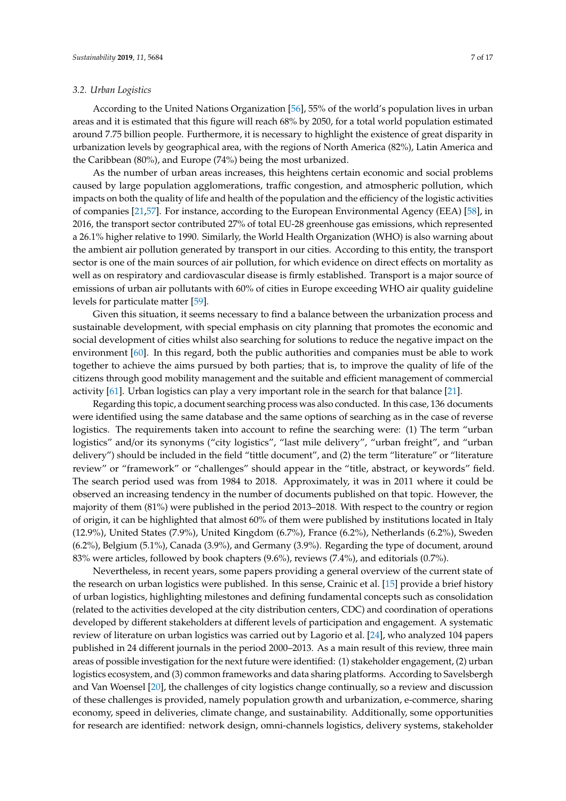#### *3.2. Urban Logistics*

According to the United Nations Organization [\[56\]](#page-14-19), 55% of the world's population lives in urban areas and it is estimated that this figure will reach 68% by 2050, for a total world population estimated around 7.75 billion people. Furthermore, it is necessary to highlight the existence of great disparity in urbanization levels by geographical area, with the regions of North America (82%), Latin America and the Caribbean (80%), and Europe (74%) being the most urbanized.

As the number of urban areas increases, this heightens certain economic and social problems caused by large population agglomerations, traffic congestion, and atmospheric pollution, which impacts on both the quality of life and health of the population and the efficiency of the logistic activities of companies [\[21,](#page-13-9)[57\]](#page-14-20). For instance, according to the European Environmental Agency (EEA) [\[58\]](#page-14-21), in 2016, the transport sector contributed 27% of total EU-28 greenhouse gas emissions, which represented a 26.1% higher relative to 1990. Similarly, the World Health Organization (WHO) is also warning about the ambient air pollution generated by transport in our cities. According to this entity, the transport sector is one of the main sources of air pollution, for which evidence on direct effects on mortality as well as on respiratory and cardiovascular disease is firmly established. Transport is a major source of emissions of urban air pollutants with 60% of cities in Europe exceeding WHO air quality guideline levels for particulate matter [\[59\]](#page-14-22).

Given this situation, it seems necessary to find a balance between the urbanization process and sustainable development, with special emphasis on city planning that promotes the economic and social development of cities whilst also searching for solutions to reduce the negative impact on the environment [\[60\]](#page-14-23). In this regard, both the public authorities and companies must be able to work together to achieve the aims pursued by both parties; that is, to improve the quality of life of the citizens through good mobility management and the suitable and efficient management of commercial activity [\[61\]](#page-15-0). Urban logistics can play a very important role in the search for that balance [\[21\]](#page-13-9).

Regarding this topic, a document searching process was also conducted. In this case, 136 documents were identified using the same database and the same options of searching as in the case of reverse logistics. The requirements taken into account to refine the searching were: (1) The term "urban logistics" and/or its synonyms ("city logistics", "last mile delivery", "urban freight", and "urban delivery") should be included in the field "tittle document", and (2) the term "literature" or "literature review" or "framework" or "challenges" should appear in the "title, abstract, or keywords" field. The search period used was from 1984 to 2018. Approximately, it was in 2011 where it could be observed an increasing tendency in the number of documents published on that topic. However, the majority of them (81%) were published in the period 2013–2018. With respect to the country or region of origin, it can be highlighted that almost 60% of them were published by institutions located in Italy (12.9%), United States (7.9%), United Kingdom (6.7%), France (6.2%), Netherlands (6.2%), Sweden (6.2%), Belgium (5.1%), Canada (3.9%), and Germany (3.9%). Regarding the type of document, around 83% were articles, followed by book chapters (9.6%), reviews (7.4%), and editorials (0.7%).

Nevertheless, in recent years, some papers providing a general overview of the current state of the research on urban logistics were published. In this sense, Crainic et al. [\[15\]](#page-13-3) provide a brief history of urban logistics, highlighting milestones and defining fundamental concepts such as consolidation (related to the activities developed at the city distribution centers, CDC) and coordination of operations developed by different stakeholders at different levels of participation and engagement. A systematic review of literature on urban logistics was carried out by Lagorio et al. [\[24\]](#page-13-12), who analyzed 104 papers published in 24 different journals in the period 2000–2013. As a main result of this review, three main areas of possible investigation for the next future were identified: (1) stakeholder engagement, (2) urban logistics ecosystem, and (3) common frameworks and data sharing platforms. According to Savelsbergh and Van Woensel [\[20\]](#page-13-8), the challenges of city logistics change continually, so a review and discussion of these challenges is provided, namely population growth and urbanization, e-commerce, sharing economy, speed in deliveries, climate change, and sustainability. Additionally, some opportunities for research are identified: network design, omni-channels logistics, delivery systems, stakeholder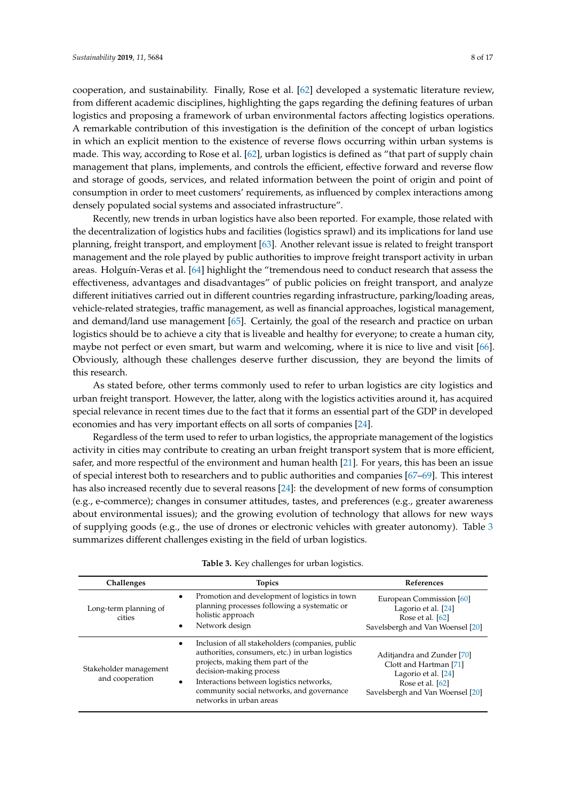cooperation, and sustainability. Finally, Rose et al. [\[62\]](#page-15-1) developed a systematic literature review, from different academic disciplines, highlighting the gaps regarding the defining features of urban logistics and proposing a framework of urban environmental factors affecting logistics operations. A remarkable contribution of this investigation is the definition of the concept of urban logistics in which an explicit mention to the existence of reverse flows occurring within urban systems is made. This way, according to Rose et al. [\[62\]](#page-15-1), urban logistics is defined as "that part of supply chain management that plans, implements, and controls the efficient, effective forward and reverse flow and storage of goods, services, and related information between the point of origin and point of consumption in order to meet customers' requirements, as influenced by complex interactions among densely populated social systems and associated infrastructure".

Recently, new trends in urban logistics have also been reported. For example, those related with the decentralization of logistics hubs and facilities (logistics sprawl) and its implications for land use planning, freight transport, and employment [\[63\]](#page-15-2). Another relevant issue is related to freight transport management and the role played by public authorities to improve freight transport activity in urban areas. Holguín-Veras et al. [\[64\]](#page-15-3) highlight the "tremendous need to conduct research that assess the effectiveness, advantages and disadvantages" of public policies on freight transport, and analyze different initiatives carried out in different countries regarding infrastructure, parking/loading areas, vehicle-related strategies, traffic management, as well as financial approaches, logistical management, and demand/land use management [\[65\]](#page-15-4). Certainly, the goal of the research and practice on urban logistics should be to achieve a city that is liveable and healthy for everyone; to create a human city, maybe not perfect or even smart, but warm and welcoming, where it is nice to live and visit [\[66\]](#page-15-5). Obviously, although these challenges deserve further discussion, they are beyond the limits of this research.

As stated before, other terms commonly used to refer to urban logistics are city logistics and urban freight transport. However, the latter, along with the logistics activities around it, has acquired special relevance in recent times due to the fact that it forms an essential part of the GDP in developed economies and has very important effects on all sorts of companies [\[24\]](#page-13-12).

Regardless of the term used to refer to urban logistics, the appropriate management of the logistics activity in cities may contribute to creating an urban freight transport system that is more efficient, safer, and more respectful of the environment and human health [\[21\]](#page-13-9). For years, this has been an issue of special interest both to researchers and to public authorities and companies [\[67](#page-15-6)[–69\]](#page-15-7). This interest has also increased recently due to several reasons [\[24\]](#page-13-12): the development of new forms of consumption (e.g., e-commerce); changes in consumer attitudes, tastes, and preferences (e.g., greater awareness about environmental issues); and the growing evolution of technology that allows for new ways of supplying goods (e.g., the use of drones or electronic vehicles with greater autonomy). Table [3](#page-8-0) summarizes different challenges existing in the field of urban logistics.

| Challenges                                | <b>Topics</b>                                                                                                                                                                                                                                                                                         | <b>References</b>                                                                                                                   |
|-------------------------------------------|-------------------------------------------------------------------------------------------------------------------------------------------------------------------------------------------------------------------------------------------------------------------------------------------------------|-------------------------------------------------------------------------------------------------------------------------------------|
| Long-term planning of<br>cities           | Promotion and development of logistics in town<br>$\bullet$<br>planning processes following a systematic or<br>holistic approach<br>Network design<br>$\bullet$                                                                                                                                       | European Commission [60]<br>Lagorio et al. [24]<br>Rose et al. [62]<br>Savelsbergh and Van Woensel [20]                             |
| Stakeholder management<br>and cooperation | Inclusion of all stakeholders (companies, public<br>$\bullet$<br>authorities, consumers, etc.) in urban logistics<br>projects, making them part of the<br>decision-making process<br>Interactions between logistics networks,<br>community social networks, and governance<br>networks in urban areas | Aditiandra and Zunder [70]<br>Clott and Hartman [71]<br>Lagorio et al. [24]<br>Rose et al. [62]<br>Savelsbergh and Van Woensel [20] |

|  |  | Table 3. Key challenges for urban logistics. |  |  |  |
|--|--|----------------------------------------------|--|--|--|
|--|--|----------------------------------------------|--|--|--|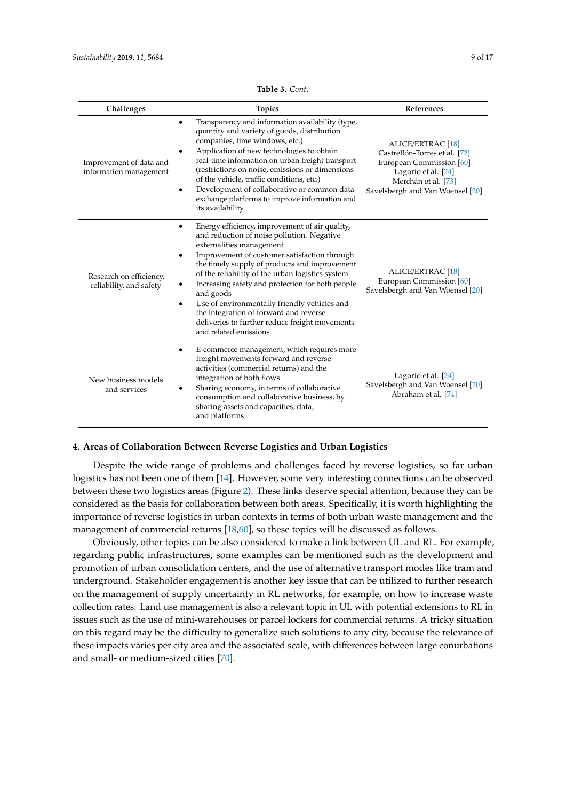<span id="page-8-0"></span>

| Challenges                                         | <b>Topics</b>                                                                                                                                                                                                                                                                                                                                                                                                                                                                                                                         | References                                                                                                                                                              |
|----------------------------------------------------|---------------------------------------------------------------------------------------------------------------------------------------------------------------------------------------------------------------------------------------------------------------------------------------------------------------------------------------------------------------------------------------------------------------------------------------------------------------------------------------------------------------------------------------|-------------------------------------------------------------------------------------------------------------------------------------------------------------------------|
| Improvement of data and<br>information management  | Transparency and information availability (type,<br>$\bullet$<br>quantity and variety of goods, distribution<br>companies, time windows, etc.)<br>Application of new technologies to obtain<br>real-time information on urban freight transport<br>(restrictions on noise, emissions or dimensions<br>of the vehicle, traffic conditions, etc.)<br>Development of collaborative or common data<br>٠<br>exchange platforms to improve information and<br>its availability                                                              | <b>ALICE/ERTRAC [18]</b><br>Castrellón-Torres et al. [72]<br>European Commission [60]<br>Lagorio et al. [24]<br>Merchán et al. [73]<br>Savelsbergh and Van Woensel [20] |
| Research on efficiency,<br>reliability, and safety | Energy efficiency, improvement of air quality,<br>and reduction of noise pollution. Negative<br>externalities management<br>Improvement of customer satisfaction through<br>٠<br>the timely supply of products and improvement<br>of the reliability of the urban logistics system<br>Increasing safety and protection for both people<br>and goods<br>Use of environmentally friendly vehicles and<br>$\bullet$<br>the integration of forward and reverse<br>deliveries to further reduce freight movements<br>and related emissions | <b>ALICE/ERTRAC [18]</b><br>European Commission [60]<br>Savelsbergh and Van Woensel [20]                                                                                |
| New business models<br>and services                | E-commerce management, which requires more<br>٠<br>freight movements forward and reverse<br>activities (commercial returns) and the<br>integration of both flows<br>Sharing economy, in terms of collaborative<br>consumption and collaborative business, by<br>sharing assets and capacities, data,<br>and platforms                                                                                                                                                                                                                 | Lagorio et al. [24]<br>Savelsbergh and Van Woensel [20]<br>Abraham et al. [74]                                                                                          |

**Table 3.** *Cont*.

## **4. Areas of Collaboration Between Reverse Logistics and Urban Logistics**

Despite the wide range of problems and challenges faced by reverse logistics, so far urban logistics has not been one of them [\[14\]](#page-13-2). However, some very interesting connections can be observed between these two logistics areas (Figure [2\)](#page-9-0). These links deserve special attention, because they can be considered as the basis for collaboration between both areas. Specifically, it is worth highlighting the importance of reverse logistics in urban contexts in terms of both urban waste management and the management of commercial returns [\[18](#page-13-6)[,60\]](#page-14-23), so these topics will be discussed as follows.

Obviously, other topics can be also considered to make a link between UL and RL. For example, regarding public infrastructures, some examples can be mentioned such as the development and promotion of urban consolidation centers, and the use of alternative transport modes like tram and underground. Stakeholder engagement is another key issue that can be utilized to further research on the management of supply uncertainty in RL networks, for example, on how to increase waste collection rates. Land use management is also a relevant topic in UL with potential extensions to RL in issues such as the use of mini-warehouses or parcel lockers for commercial returns. A tricky situation on this regard may be the difficulty to generalize such solutions to any city, because the relevance of these impacts varies per city area and the associated scale, with differences between large conurbations and small- or medium-sized cities [\[70\]](#page-15-8).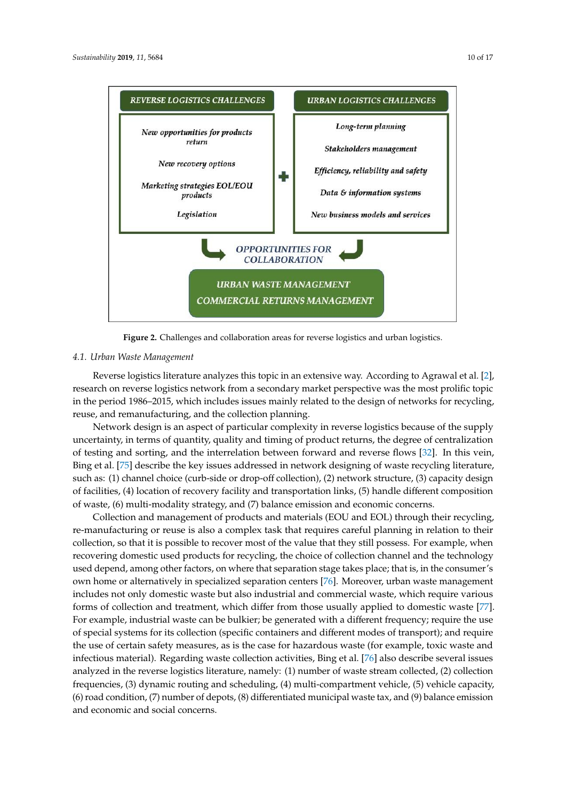<span id="page-9-0"></span>**REVERSE LOGISTICS CHALLENGES** 

New opportunities for products return

New recovery options

Marketing strategies EOL/EOU

products

Legislation



Efficiency, reliability and safety 4

Data & information systems

New business models and services



**OPPORTUNITIES FOR COLLABORATION** 

**URBAN WASTE MANAGEMENT COMMERCIAL RETURNS MANAGEMENT** 

#### $\overline{\mathcal{O}}$ *4.1. Urban Waste Management*

Reverse logistics literature analyzes this topic in an extensive way. According to Agrawal et al. [\[2\]](#page-12-1), research on reverse logistics network from a secondary market perspective was the most prolific topic in the period 1986–2015, which includes issues mainly related to the design of networks for recycling, reuse, and remanufacturing, and the collection planning.

Network design is an aspect of particular complexity in reverse logistics because of the supply uncertainty, in terms of quantity, quality and timing of product returns, the degree of centralization of testing and sorting, and the interrelation between forward and reverse flows [\[32\]](#page-13-23). In this vein, Bing et al. [\[75\]](#page-15-13) describe the key issues addressed in network designing of waste recycling literature, such as: (1) channel choice (curb-side or drop-off collection), (2) network structure, (3) capacity design of waste, (6) multi-modality strategy, and (7) balance emission and economic concerns. of facilities, (4) location of recovery facility and transportation links, (5) handle different composition

re-manufacturing or reuse is also a complex task that requires careful planning in relation to their re manufacturing or rease is also a complex task that requires careful planning in relation to their collection, so that it is possible to recover most of the value that they still possess. For example, when recovering domestic used products for recycling, the choice of collection channel and the technology recovering admestic asea products for recycling, the choice or concellent entanter and the technology used depend, among other factors, on where that separation stage takes place; that is, in the consumer's ased depend, among other factors, on where that separation stage takes place, that is, in the constanter is<br>own home or alternatively in specialized separation centers [\[76\]](#page-15-14). Moreover, urban waste management includes not only domestic waste but also industrial and commercial waste, which require various includes not only domestic waste but also industrial and commercial waste, which require various forms of collection and treatment, which differ from those usually applied to domestic waste [\[77\]](#page-15-15). For example, industrial waste can be bulkier; be generated with a different frequency; require the use of special systems for its collection (specific containers and different modes of transport); and require the use of certain safety measures, as is the case for hazardous waste (for example, toxic waste and the use of certain safety measures, as is the case for hazardous waste (for example, toxic waste and composition of waster of wastercomposition of the case for interactions waster (7) balance emission and environment infectious material). Regarding waste collection activities, Bing et al. [\[76\]](#page-15-14) also describe several issues analyzed in the reverse logistics literature, namely: (1) number of waste stream collected, (2) collection to the interlation of the collection of the collection of the collection of the collection of the collection of th frequencies, (3) dynamic routing and scheduling, (4) multi-compartment vehicle, (5) vehicle capacity,<br>(6)  $\frac{1}{2}$  (8)  $\frac{1}{2}$  (8)  $\frac{1}{2}$  (8)  $\frac{1}{2}$  (8)  $\frac{1}{2}$  (8)  $\frac{1}{2}$ (6) road condition, (7) number of depots, (8) differentiated municipal waste tax, and (9) balance emission  $\frac{1}{2}$ Collection and management of products and materials (EOU and EOL) through their recycling, and economic and social concerns.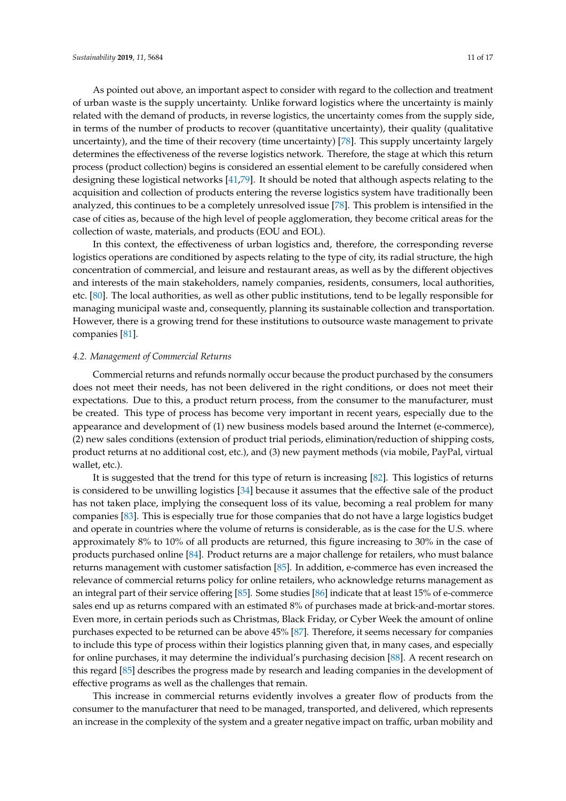As pointed out above, an important aspect to consider with regard to the collection and treatment of urban waste is the supply uncertainty. Unlike forward logistics where the uncertainty is mainly related with the demand of products, in reverse logistics, the uncertainty comes from the supply side, in terms of the number of products to recover (quantitative uncertainty), their quality (qualitative uncertainty), and the time of their recovery (time uncertainty) [\[78\]](#page-15-16). This supply uncertainty largely determines the effectiveness of the reverse logistics network. Therefore, the stage at which this return process (product collection) begins is considered an essential element to be carefully considered when designing these logistical networks [\[41](#page-14-4)[,79\]](#page-15-17). It should be noted that although aspects relating to the acquisition and collection of products entering the reverse logistics system have traditionally been analyzed, this continues to be a completely unresolved issue [\[78\]](#page-15-16). This problem is intensified in the case of cities as, because of the high level of people agglomeration, they become critical areas for the collection of waste, materials, and products (EOU and EOL).

In this context, the effectiveness of urban logistics and, therefore, the corresponding reverse logistics operations are conditioned by aspects relating to the type of city, its radial structure, the high concentration of commercial, and leisure and restaurant areas, as well as by the different objectives and interests of the main stakeholders, namely companies, residents, consumers, local authorities, etc. [\[80\]](#page-15-18). The local authorities, as well as other public institutions, tend to be legally responsible for managing municipal waste and, consequently, planning its sustainable collection and transportation. However, there is a growing trend for these institutions to outsource waste management to private companies [\[81\]](#page-15-19).

#### *4.2. Management of Commercial Returns*

Commercial returns and refunds normally occur because the product purchased by the consumers does not meet their needs, has not been delivered in the right conditions, or does not meet their expectations. Due to this, a product return process, from the consumer to the manufacturer, must be created. This type of process has become very important in recent years, especially due to the appearance and development of (1) new business models based around the Internet (e-commerce), (2) new sales conditions (extension of product trial periods, elimination/reduction of shipping costs, product returns at no additional cost, etc.), and (3) new payment methods (via mobile, PayPal, virtual wallet, etc.).

It is suggested that the trend for this type of return is increasing [\[82\]](#page-15-20). This logistics of returns is considered to be unwilling logistics [\[34\]](#page-13-20) because it assumes that the effective sale of the product has not taken place, implying the consequent loss of its value, becoming a real problem for many companies [\[83\]](#page-15-21). This is especially true for those companies that do not have a large logistics budget and operate in countries where the volume of returns is considerable, as is the case for the U.S. where approximately 8% to 10% of all products are returned, this figure increasing to 30% in the case of products purchased online [\[84\]](#page-16-0). Product returns are a major challenge for retailers, who must balance returns management with customer satisfaction [\[85\]](#page-16-1). In addition, e-commerce has even increased the relevance of commercial returns policy for online retailers, who acknowledge returns management as an integral part of their service offering [\[85\]](#page-16-1). Some studies [\[86\]](#page-16-2) indicate that at least 15% of e-commerce sales end up as returns compared with an estimated 8% of purchases made at brick-and-mortar stores. Even more, in certain periods such as Christmas, Black Friday, or Cyber Week the amount of online purchases expected to be returned can be above 45% [\[87\]](#page-16-3). Therefore, it seems necessary for companies to include this type of process within their logistics planning given that, in many cases, and especially for online purchases, it may determine the individual's purchasing decision [\[88\]](#page-16-4). A recent research on this regard [\[85\]](#page-16-1) describes the progress made by research and leading companies in the development of effective programs as well as the challenges that remain.

This increase in commercial returns evidently involves a greater flow of products from the consumer to the manufacturer that need to be managed, transported, and delivered, which represents an increase in the complexity of the system and a greater negative impact on traffic, urban mobility and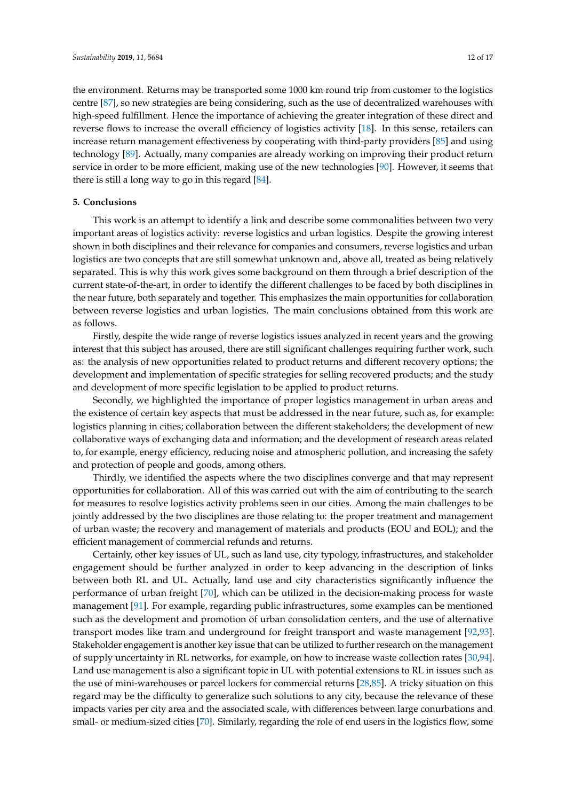the environment. Returns may be transported some 1000 km round trip from customer to the logistics centre [\[87\]](#page-16-3), so new strategies are being considering, such as the use of decentralized warehouses with high-speed fulfillment. Hence the importance of achieving the greater integration of these direct and reverse flows to increase the overall efficiency of logistics activity [\[18\]](#page-13-6). In this sense, retailers can increase return management effectiveness by cooperating with third-party providers [\[85\]](#page-16-1) and using technology [\[89\]](#page-16-5). Actually, many companies are already working on improving their product return service in order to be more efficient, making use of the new technologies [\[90\]](#page-16-6). However, it seems that there is still a long way to go in this regard [\[84\]](#page-16-0).

# **5. Conclusions**

This work is an attempt to identify a link and describe some commonalities between two very important areas of logistics activity: reverse logistics and urban logistics. Despite the growing interest shown in both disciplines and their relevance for companies and consumers, reverse logistics and urban logistics are two concepts that are still somewhat unknown and, above all, treated as being relatively separated. This is why this work gives some background on them through a brief description of the current state-of-the-art, in order to identify the different challenges to be faced by both disciplines in the near future, both separately and together. This emphasizes the main opportunities for collaboration between reverse logistics and urban logistics. The main conclusions obtained from this work are as follows.

Firstly, despite the wide range of reverse logistics issues analyzed in recent years and the growing interest that this subject has aroused, there are still significant challenges requiring further work, such as: the analysis of new opportunities related to product returns and different recovery options; the development and implementation of specific strategies for selling recovered products; and the study and development of more specific legislation to be applied to product returns.

Secondly, we highlighted the importance of proper logistics management in urban areas and the existence of certain key aspects that must be addressed in the near future, such as, for example: logistics planning in cities; collaboration between the different stakeholders; the development of new collaborative ways of exchanging data and information; and the development of research areas related to, for example, energy efficiency, reducing noise and atmospheric pollution, and increasing the safety and protection of people and goods, among others.

Thirdly, we identified the aspects where the two disciplines converge and that may represent opportunities for collaboration. All of this was carried out with the aim of contributing to the search for measures to resolve logistics activity problems seen in our cities. Among the main challenges to be jointly addressed by the two disciplines are those relating to: the proper treatment and management of urban waste; the recovery and management of materials and products (EOU and EOL); and the efficient management of commercial refunds and returns.

Certainly, other key issues of UL, such as land use, city typology, infrastructures, and stakeholder engagement should be further analyzed in order to keep advancing in the description of links between both RL and UL. Actually, land use and city characteristics significantly influence the performance of urban freight [\[70\]](#page-15-8), which can be utilized in the decision-making process for waste management [\[91\]](#page-16-7). For example, regarding public infrastructures, some examples can be mentioned such as the development and promotion of urban consolidation centers, and the use of alternative transport modes like tram and underground for freight transport and waste management [\[92,](#page-16-8)[93\]](#page-16-9). Stakeholder engagement is another key issue that can be utilized to further research on the management of supply uncertainty in RL networks, for example, on how to increase waste collection rates [\[30,](#page-13-18)[94\]](#page-16-10). Land use management is also a significant topic in UL with potential extensions to RL in issues such as the use of mini-warehouses or parcel lockers for commercial returns [\[28,](#page-13-16)[85\]](#page-16-1). A tricky situation on this regard may be the difficulty to generalize such solutions to any city, because the relevance of these impacts varies per city area and the associated scale, with differences between large conurbations and small- or medium-sized cities [\[70\]](#page-15-8). Similarly, regarding the role of end users in the logistics flow, some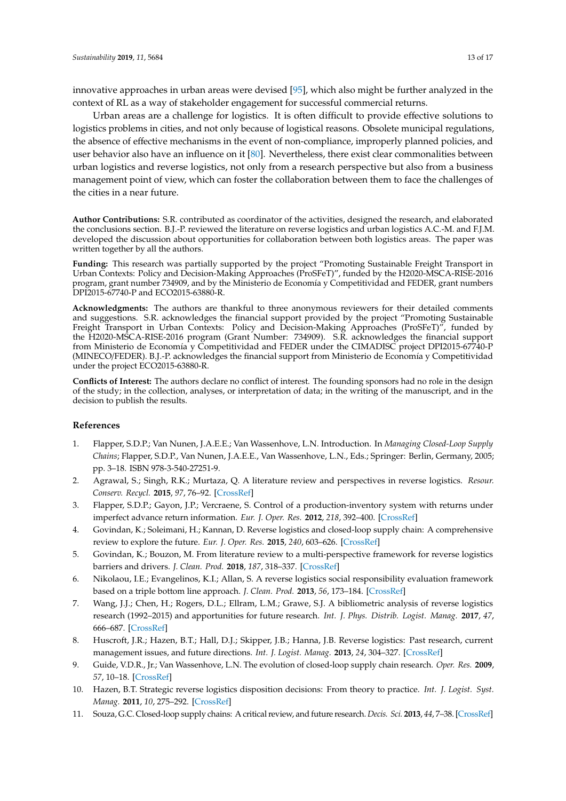innovative approaches in urban areas were devised [\[95\]](#page-16-11), which also might be further analyzed in the context of RL as a way of stakeholder engagement for successful commercial returns.

Urban areas are a challenge for logistics. It is often difficult to provide effective solutions to logistics problems in cities, and not only because of logistical reasons. Obsolete municipal regulations, the absence of effective mechanisms in the event of non-compliance, improperly planned policies, and user behavior also have an influence on it [\[80\]](#page-15-18). Nevertheless, there exist clear commonalities between urban logistics and reverse logistics, not only from a research perspective but also from a business management point of view, which can foster the collaboration between them to face the challenges of the cities in a near future.

**Author Contributions:** S.R. contributed as coordinator of the activities, designed the research, and elaborated the conclusions section. B.J.-P. reviewed the literature on reverse logistics and urban logistics A.C.-M. and F.J.M. developed the discussion about opportunities for collaboration between both logistics areas. The paper was written together by all the authors.

**Funding:** This research was partially supported by the project "Promoting Sustainable Freight Transport in Urban Contexts: Policy and Decision-Making Approaches (ProSFeT)", funded by the H2020-MSCA-RISE-2016 program, grant number 734909, and by the Ministerio de Economía y Competitividad and FEDER, grant numbers DPI2015-67740-P and ECO2015-63880-R.

**Acknowledgments:** The authors are thankful to three anonymous reviewers for their detailed comments and suggestions. S.R. acknowledges the financial support provided by the project "Promoting Sustainable Freight Transport in Urban Contexts: Policy and Decision-Making Approaches (ProSFeT)", funded by the H2020-MSCA-RISE-2016 program (Grant Number: 734909). S.R. acknowledges the financial support from Ministerio de Economía y Competitividad and FEDER under the CIMADISC project DPI2015-67740-P (MINECO/FEDER). B.J.-P. acknowledges the financial support from Ministerio de Economía y Competitividad under the project ECO2015-63880-R.

**Conflicts of Interest:** The authors declare no conflict of interest. The founding sponsors had no role in the design of the study; in the collection, analyses, or interpretation of data; in the writing of the manuscript, and in the decision to publish the results.

## **References**

- <span id="page-12-0"></span>1. Flapper, S.D.P.; Van Nunen, J.A.E.E.; Van Wassenhove, L.N. Introduction. In *Managing Closed-Loop Supply Chains*; Flapper, S.D.P., Van Nunen, J.A.E.E., Van Wassenhove, L.N., Eds.; Springer: Berlin, Germany, 2005; pp. 3–18. ISBN 978-3-540-27251-9.
- <span id="page-12-1"></span>2. Agrawal, S.; Singh, R.K.; Murtaza, Q. A literature review and perspectives in reverse logistics. *Resour. Conserv. Recycl.* **2015**, *97*, 76–92. [\[CrossRef\]](http://dx.doi.org/10.1016/j.resconrec.2015.02.009)
- 3. Flapper, S.D.P.; Gayon, J.P.; Vercraene, S. Control of a production-inventory system with returns under imperfect advance return information. *Eur. J. Oper. Res.* **2012**, *218*, 392–400. [\[CrossRef\]](http://dx.doi.org/10.1016/j.ejor.2011.10.051)
- <span id="page-12-7"></span>4. Govindan, K.; Soleimani, H.; Kannan, D. Reverse logistics and closed-loop supply chain: A comprehensive review to explore the future. *Eur. J. Oper. Res.* **2015**, *240*, 603–626. [\[CrossRef\]](http://dx.doi.org/10.1016/j.ejor.2014.07.012)
- 5. Govindan, K.; Bouzon, M. From literature review to a multi-perspective framework for reverse logistics barriers and drivers. *J. Clean. Prod.* **2018**, *187*, 318–337. [\[CrossRef\]](http://dx.doi.org/10.1016/j.jclepro.2018.03.040)
- <span id="page-12-2"></span>6. Nikolaou, I.E.; Evangelinos, K.I.; Allan, S. A reverse logistics social responsibility evaluation framework based on a triple bottom line approach. *J. Clean. Prod.* **2013**, *56*, 173–184. [\[CrossRef\]](http://dx.doi.org/10.1016/j.jclepro.2011.12.009)
- <span id="page-12-3"></span>7. Wang, J.J.; Chen, H.; Rogers, D.L.; Ellram, L.M.; Grawe, S.J. A bibliometric analysis of reverse logistics research (1992–2015) and apportunities for future research. *Int. J. Phys. Distrib. Logist. Manag.* **2017**, *47*, 666–687. [\[CrossRef\]](http://dx.doi.org/10.1108/IJPDLM-10-2016-0299)
- <span id="page-12-4"></span>8. Huscroft, J.R.; Hazen, B.T.; Hall, D.J.; Skipper, J.B.; Hanna, J.B. Reverse logistics: Past research, current management issues, and future directions. *Int. J. Logist. Manag.* **2013**, *24*, 304–327. [\[CrossRef\]](http://dx.doi.org/10.1108/IJLM-04-2012-0024)
- <span id="page-12-5"></span>9. Guide, V.D.R., Jr.; Van Wassenhove, L.N. The evolution of closed-loop supply chain research. *Oper. Res.* **2009**, *57*, 10–18. [\[CrossRef\]](http://dx.doi.org/10.1287/opre.1080.0628)
- <span id="page-12-6"></span>10. Hazen, B.T. Strategic reverse logistics disposition decisions: From theory to practice. *Int. J. Logist. Syst. Manag.* **2011**, *10*, 275–292. [\[CrossRef\]](http://dx.doi.org/10.1504/IJLSM.2011.043118)
- <span id="page-12-8"></span>11. Souza, G.C. Closed-loop supply chains: A critical review, and future research. *Decis. Sci.* **2013**, *44*, 7–38. [\[CrossRef\]](http://dx.doi.org/10.1111/j.1540-5915.2012.00394.x)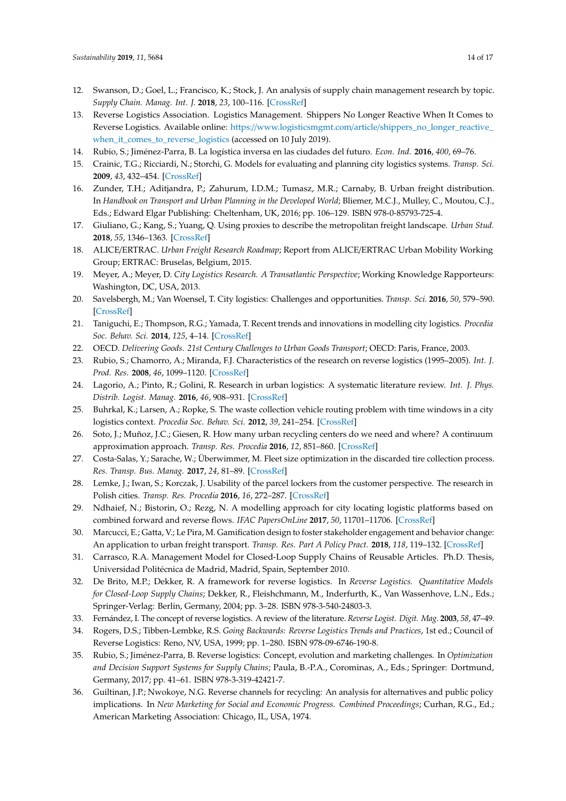- <span id="page-13-0"></span>12. Swanson, D.; Goel, L.; Francisco, K.; Stock, J. An analysis of supply chain management research by topic. *Supply Chain. Manag. Int. J.* **2018**, *23*, 100–116. [\[CrossRef\]](http://dx.doi.org/10.1108/SCM-05-2017-0166)
- <span id="page-13-1"></span>13. Reverse Logistics Association. Logistics Management. Shippers No Longer Reactive When It Comes to Reverse Logistics. Available online: https://www.logisticsmgmt.com/article/[shippers\\_no\\_longer\\_reactive\\_](https://www.logisticsmgmt.com/article/shippers_no_longer_reactive_when_it_comes_to_reverse_logistics) [when\\_it\\_comes\\_to\\_reverse\\_logistics](https://www.logisticsmgmt.com/article/shippers_no_longer_reactive_when_it_comes_to_reverse_logistics) (accessed on 10 July 2019).
- <span id="page-13-2"></span>14. Rubio, S.; Jiménez-Parra, B. La logística inversa en las ciudades del futuro. *Econ. Ind.* **2016**, *400*, 69–76.
- <span id="page-13-3"></span>15. Crainic, T.G.; Ricciardi, N.; Storchi, G. Models for evaluating and planning city logistics systems. *Transp. Sci.* **2009**, *43*, 432–454. [\[CrossRef\]](http://dx.doi.org/10.1287/trsc.1090.0279)
- <span id="page-13-4"></span>16. Zunder, T.H.; Aditjandra, P.; Zahurum, I.D.M.; Tumasz, M.R.; Carnaby, B. Urban freight distribution. In *Handbook on Transport and Urban Planning in the Developed World*; Bliemer, M.C.J., Mulley, C., Moutou, C.J., Eds.; Edward Elgar Publishing: Cheltenham, UK, 2016; pp. 106–129. ISBN 978-0-85793-725-4.
- <span id="page-13-5"></span>17. Giuliano, G.; Kang, S.; Yuang, Q. Using proxies to describe the metropolitan freight landscape. *Urban Stud.* **2018**, *55*, 1346–1363. [\[CrossRef\]](http://dx.doi.org/10.1177/0042098017691438)
- <span id="page-13-6"></span>18. ALICE/ERTRAC. *Urban Freight Research Roadmap*; Report from ALICE/ERTRAC Urban Mobility Working Group; ERTRAC: Bruselas, Belgium, 2015.
- <span id="page-13-7"></span>19. Meyer, A.; Meyer, D. *City Logistics Research. A Transatlantic Perspective*; Working Knowledge Rapporteurs: Washington, DC, USA, 2013.
- <span id="page-13-8"></span>20. Savelsbergh, M.; Van Woensel, T. City logistics: Challenges and opportunities. *Transp. Sci.* **2016**, *50*, 579–590. [\[CrossRef\]](http://dx.doi.org/10.1287/trsc.2016.0675)
- <span id="page-13-9"></span>21. Taniguchi, E.; Thompson, R.G.; Yamada, T. Recent trends and innovations in modelling city logistics. *Procedia Soc. Behav. Sci.* **2014**, *125*, 4–14. [\[CrossRef\]](http://dx.doi.org/10.1016/j.sbspro.2014.01.1451)
- <span id="page-13-10"></span>22. OECD. *Delivering Goods. 21st Century Challenges to Urban Goods Transport*; OECD: Paris, France, 2003.
- <span id="page-13-11"></span>23. Rubio, S.; Chamorro, A.; Miranda, F.J. Characteristics of the research on reverse logistics (1995–2005). *Int. J. Prod. Res.* **2008**, *46*, 1099–1120. [\[CrossRef\]](http://dx.doi.org/10.1080/00207540600943977)
- <span id="page-13-12"></span>24. Lagorio, A.; Pinto, R.; Golini, R. Research in urban logistics: A systematic literature review. *Int. J. Phys. Distrib. Logist. Manag.* **2016**, *46*, 908–931. [\[CrossRef\]](http://dx.doi.org/10.1108/IJPDLM-01-2016-0008)
- <span id="page-13-13"></span>25. Buhrkal, K.; Larsen, A.; Ropke, S. The waste collection vehicle routing problem with time windows in a city logistics context. *Procedia Soc. Behav. Sci.* **2012**, *39*, 241–254. [\[CrossRef\]](http://dx.doi.org/10.1016/j.sbspro.2012.03.105)
- <span id="page-13-14"></span>26. Soto, J.; Muñoz, J.C.; Giesen, R. How many urban recycling centers do we need and where? A continuum approximation approach. *Transp. Res. Procedia* **2016**, *12*, 851–860. [\[CrossRef\]](http://dx.doi.org/10.1016/j.trpro.2016.02.038)
- <span id="page-13-15"></span>27. Costa-Salas, Y.; Sarache, W.; Überwimmer, M. Fleet size optimization in the discarded tire collection process. *Res. Transp. Bus. Manag.* **2017**, *24*, 81–89. [\[CrossRef\]](http://dx.doi.org/10.1016/j.rtbm.2017.08.001)
- <span id="page-13-16"></span>28. Lemke, J.; Iwan, S.; Korczak, J. Usability of the parcel lockers from the customer perspective. The research in Polish cities. *Transp. Res. Procedia* **2016**, *16*, 272–287. [\[CrossRef\]](http://dx.doi.org/10.1016/j.trpro.2016.11.027)
- <span id="page-13-17"></span>29. Ndhaief, N.; Bistorin, O.; Rezg, N. A modelling approach for city locating logistic platforms based on combined forward and reverse flows. *IFAC PapersOnLine* **2017**, *50*, 11701–11706. [\[CrossRef\]](http://dx.doi.org/10.1016/j.ifacol.2017.08.1691)
- <span id="page-13-18"></span>30. Marcucci, E.; Gatta, V.; Le Pira, M. Gamification design to foster stakeholder engagement and behavior change: An application to urban freight transport. *Transp. Res. Part A Policy Pract.* **2018**, *118*, 119–132. [\[CrossRef\]](http://dx.doi.org/10.1016/j.tra.2018.08.028)
- <span id="page-13-19"></span>31. Carrasco, R.A. Management Model for Closed-Loop Supply Chains of Reusable Articles. Ph.D. Thesis, Universidad Politécnica de Madrid, Madrid, Spain, September 2010.
- <span id="page-13-23"></span>32. De Brito, M.P.; Dekker, R. A framework for reverse logistics. In *Reverse Logistics. Quantitative Models for Closed-Loop Supply Chains*; Dekker, R., Fleishchmann, M., Inderfurth, K., Van Wassenhove, L.N., Eds.; Springer-Verlag: Berlin, Germany, 2004; pp. 3–28. ISBN 978-3-540-24803-3.
- 33. Fernández, I. The concept of reverse logistics. A review of the literature. *Reverse Logist. Digit. Mag.* **2003**, *58*, 47–49.
- <span id="page-13-20"></span>34. Rogers, D.S.; Tibben-Lembke, R.S. *Going Backwards: Reverse Logistics Trends and Practices*, 1st ed.; Council of Reverse Logistics: Reno, NV, USA, 1999; pp. 1–280. ISBN 978-09-6746-190-8.
- <span id="page-13-21"></span>35. Rubio, S.; Jiménez-Parra, B. Reverse logistics: Concept, evolution and marketing challenges. In *Optimization and Decision Support Systems for Supply Chains*; Paula, B.-P.A., Corominas, A., Eds.; Springer: Dortmund, Germany, 2017; pp. 41–61. ISBN 978-3-319-42421-7.
- <span id="page-13-22"></span>36. Guiltinan, J.P.; Nwokoye, N.G. Reverse channels for recycling: An analysis for alternatives and public policy implications. In *New Marketing for Social and Economic Progress. Combined Proceedings*; Curhan, R.G., Ed.; American Marketing Association: Chicago, IL, USA, 1974.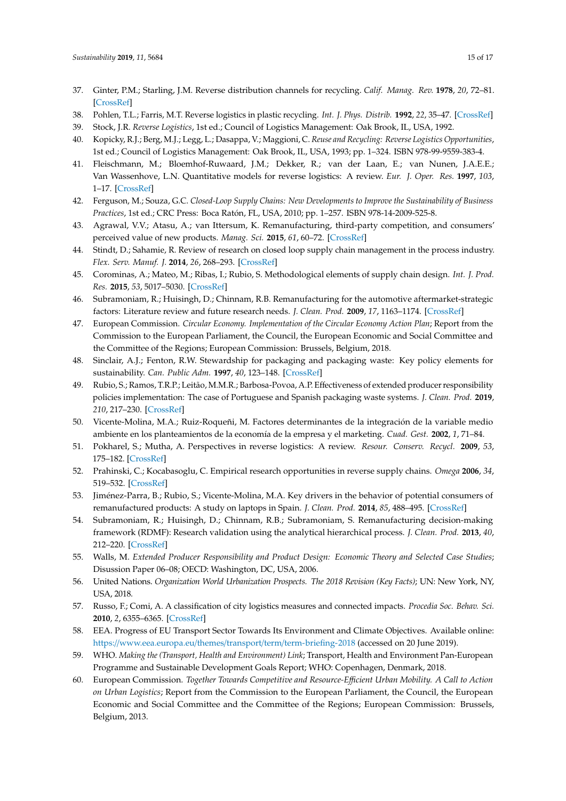- <span id="page-14-0"></span>37. Ginter, P.M.; Starling, J.M. Reverse distribution channels for recycling. *Calif. Manag. Rev.* **1978**, *20*, 72–81. [\[CrossRef\]](http://dx.doi.org/10.2307/41165284)
- <span id="page-14-1"></span>38. Pohlen, T.L.; Farris, M.T. Reverse logistics in plastic recycling. *Int. J. Phys. Distrib.* **1992**, *22*, 35–47. [\[CrossRef\]](http://dx.doi.org/10.1108/09600039210022051)
- <span id="page-14-2"></span>39. Stock, J.R. *Reverse Logistics*, 1st ed.; Council of Logistics Management: Oak Brook, IL, USA, 1992.
- <span id="page-14-3"></span>40. Kopicky, R.J.; Berg, M.J.; Legg, L.; Dasappa, V.; Maggioni, C. *Reuse and Recycling: Reverse Logistics Opportunities*, 1st ed.; Council of Logistics Management: Oak Brook, IL, USA, 1993; pp. 1–324. ISBN 978-99-9559-383-4.
- <span id="page-14-4"></span>41. Fleischmann, M.; Bloemhof-Ruwaard, J.M.; Dekker, R.; van der Laan, E.; van Nunen, J.A.E.E.; Van Wassenhove, L.N. Quantitative models for reverse logistics: A review. *Eur. J. Oper. Res.* **1997**, *103*, 1–17. [\[CrossRef\]](http://dx.doi.org/10.1016/S0377-2217(97)00230-0)
- <span id="page-14-5"></span>42. Ferguson, M.; Souza, G.C. *Closed-Loop Supply Chains: New Developments to Improve the Sustainability of Business Practices*, 1st ed.; CRC Press: Boca Ratón, FL, USA, 2010; pp. 1–257. ISBN 978-14-2009-525-8.
- <span id="page-14-6"></span>43. Agrawal, V.V.; Atasu, A.; van Ittersum, K. Remanufacturing, third-party competition, and consumers' perceived value of new products. *Manag. Sci.* **2015**, *61*, 60–72. [\[CrossRef\]](http://dx.doi.org/10.1287/mnsc.2014.2099)
- <span id="page-14-7"></span>44. Stindt, D.; Sahamie, R. Review of research on closed loop supply chain management in the process industry. *Flex. Serv. Manuf. J.* **2014**, *26*, 268–293. [\[CrossRef\]](http://dx.doi.org/10.1007/s10696-012-9137-4)
- <span id="page-14-8"></span>45. Corominas, A.; Mateo, M.; Ribas, I.; Rubio, S. Methodological elements of supply chain design. *Int. J. Prod. Res.* **2015**, *53*, 5017–5030. [\[CrossRef\]](http://dx.doi.org/10.1080/00207543.2015.1013641)
- <span id="page-14-9"></span>46. Subramoniam, R.; Huisingh, D.; Chinnam, R.B. Remanufacturing for the automotive aftermarket-strategic factors: Literature review and future research needs. *J. Clean. Prod.* **2009**, *17*, 1163–1174. [\[CrossRef\]](http://dx.doi.org/10.1016/j.jclepro.2009.03.004)
- <span id="page-14-10"></span>47. European Commission. *Circular Economy. Implementation of the Circular Economy Action Plan*; Report from the Commission to the European Parliament, the Council, the European Economic and Social Committee and the Committee of the Regions; European Commission: Brussels, Belgium, 2018.
- <span id="page-14-11"></span>48. Sinclair, A.J.; Fenton, R.W. Stewardship for packaging and packaging waste: Key policy elements for sustainability. *Can. Public Adm.* **1997**, *40*, 123–148. [\[CrossRef\]](http://dx.doi.org/10.1111/j.1754-7121.1997.tb01500.x)
- <span id="page-14-12"></span>49. Rubio, S.; Ramos, T.R.P.; Leitão, M.M.R.; Barbosa-Povoa, A.P. Effectiveness of extended producer responsibility policies implementation: The case of Portuguese and Spanish packaging waste systems. *J. Clean. Prod.* **2019**, *210*, 217–230. [\[CrossRef\]](http://dx.doi.org/10.1016/j.jclepro.2018.10.299)
- <span id="page-14-13"></span>50. Vicente-Molina, M.A.; Ruiz-Roqueñi, M. Factores determinantes de la integración de la variable medio ambiente en los planteamientos de la economía de la empresa y el marketing. *Cuad. Gest.* **2002**, *1*, 71–84.
- <span id="page-14-14"></span>51. Pokharel, S.; Mutha, A. Perspectives in reverse logistics: A review. *Resour. Conserv. Recycl.* **2009**, *53*, 175–182. [\[CrossRef\]](http://dx.doi.org/10.1016/j.resconrec.2008.11.006)
- <span id="page-14-15"></span>52. Prahinski, C.; Kocabasoglu, C. Empirical research opportunities in reverse supply chains. *Omega* **2006**, *34*, 519–532. [\[CrossRef\]](http://dx.doi.org/10.1016/j.omega.2005.01.003)
- <span id="page-14-16"></span>53. Jiménez-Parra, B.; Rubio, S.; Vicente-Molina, M.A. Key drivers in the behavior of potential consumers of remanufactured products: A study on laptops in Spain. *J. Clean. Prod.* **2014**, *85*, 488–495. [\[CrossRef\]](http://dx.doi.org/10.1016/j.jclepro.2014.05.047)
- <span id="page-14-17"></span>54. Subramoniam, R.; Huisingh, D.; Chinnam, R.B.; Subramoniam, S. Remanufacturing decision-making framework (RDMF): Research validation using the analytical hierarchical process. *J. Clean. Prod.* **2013**, *40*, 212–220. [\[CrossRef\]](http://dx.doi.org/10.1016/j.jclepro.2011.09.004)
- <span id="page-14-18"></span>55. Walls, M. *Extended Producer Responsibility and Product Design: Economic Theory and Selected Case Studies*; Disussion Paper 06–08; OECD: Washington, DC, USA, 2006.
- <span id="page-14-19"></span>56. United Nations. *Organization World Urbanization Prospects. The 2018 Revision (Key Facts)*; UN: New York, NY, USA, 2018.
- <span id="page-14-20"></span>57. Russo, F.; Comi, A. A classification of city logistics measures and connected impacts. *Procedia Soc. Behav. Sci.* **2010**, *2*, 6355–6365. [\[CrossRef\]](http://dx.doi.org/10.1016/j.sbspro.2010.04.044)
- <span id="page-14-21"></span>58. EEA. Progress of EU Transport Sector Towards Its Environment and Climate Objectives. Available online: https://[www.eea.europa.eu](https://www.eea.europa.eu/themes/transport/term/term-briefing-2018)/themes/transport/term/term-briefing-2018 (accessed on 20 June 2019).
- <span id="page-14-22"></span>59. WHO. *Making the (Transport, Health and Environment) Link*; Transport, Health and Environment Pan-European Programme and Sustainable Development Goals Report; WHO: Copenhagen, Denmark, 2018.
- <span id="page-14-23"></span>60. European Commission. *Together Towards Competitive and Resource-E*ffi*cient Urban Mobility. A Call to Action on Urban Logistics*; Report from the Commission to the European Parliament, the Council, the European Economic and Social Committee and the Committee of the Regions; European Commission: Brussels, Belgium, 2013.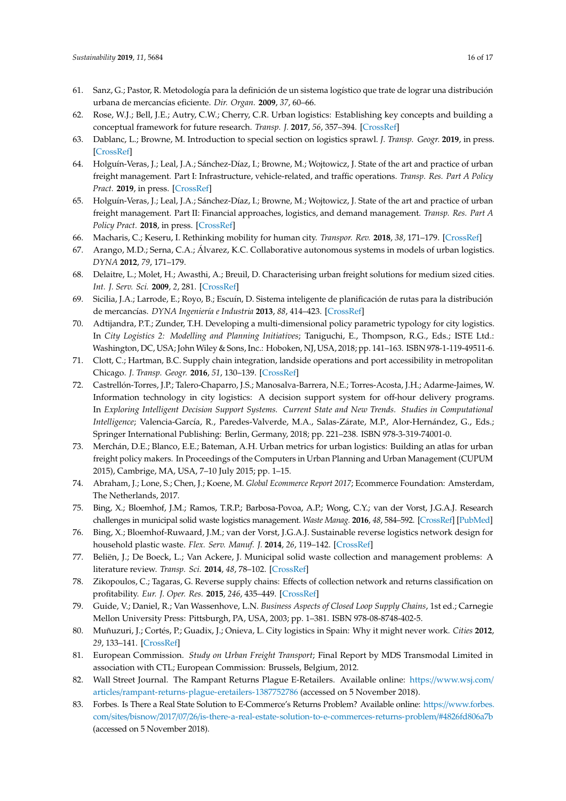- <span id="page-15-0"></span>61. Sanz, G.; Pastor, R. Metodología para la definición de un sistema logístico que trate de lograr una distribución urbana de mercancías eficiente. *Dir. Organ.* **2009**, *37*, 60–66.
- <span id="page-15-1"></span>62. Rose, W.J.; Bell, J.E.; Autry, C.W.; Cherry, C.R. Urban logistics: Establishing key concepts and building a conceptual framework for future research. *Transp. J.* **2017**, *56*, 357–394. [\[CrossRef\]](http://dx.doi.org/10.5325/transportationj.56.4.0357)
- <span id="page-15-2"></span>63. Dablanc, L.; Browne, M. Introduction to special section on logistics sprawl. *J. Transp. Geogr.* **2019**, in press. [\[CrossRef\]](http://dx.doi.org/10.1016/j.jtrangeo.2019.01.010)
- <span id="page-15-3"></span>64. Holguín-Veras, J.; Leal, J.A.; Sánchez-Díaz, I.; Browne, M.; Wojtowicz, J. State of the art and practice of urban freight management. Part I: Infrastructure, vehicle-related, and traffic operations. *Transp. Res. Part A Policy Pract.* **2019**, in press. [\[CrossRef\]](http://dx.doi.org/10.1016/j.tra.2018.10.037)
- <span id="page-15-4"></span>65. Holguín-Veras, J.; Leal, J.A.; Sánchez-Díaz, I.; Browne, M.; Wojtowicz, J. State of the art and practice of urban freight management. Part II: Financial approaches, logistics, and demand management. *Transp. Res. Part A Policy Pract.* **2018**, in press. [\[CrossRef\]](http://dx.doi.org/10.1016/j.tra.2018.10.036)
- <span id="page-15-5"></span>66. Macharis, C.; Keseru, I. Rethinking mobility for human city. *Transpor. Rev.* **2018**, *38*, 171–179. [\[CrossRef\]](http://dx.doi.org/10.1080/01441647.2018.1423612)
- <span id="page-15-6"></span>67. Arango, M.D.; Serna, C.A.; Álvarez, K.C. Collaborative autonomous systems in models of urban logistics. *DYNA* **2012**, *79*, 171–179.
- 68. Delaitre, L.; Molet, H.; Awasthi, A.; Breuil, D. Characterising urban freight solutions for medium sized cities. *Int. J. Serv. Sci.* **2009**, *2*, 281. [\[CrossRef\]](http://dx.doi.org/10.1504/IJSSCI.2009.026543)
- <span id="page-15-7"></span>69. Sicilia, J.A.; Larrode, E.; Royo, B.; Escuín, D. Sistema inteligente de planificación de rutas para la distribución de mercancías. *DYNA Ingeniería e Industria* **2013**, *88*, 414–423. [\[CrossRef\]](http://dx.doi.org/10.6036/5561)
- <span id="page-15-8"></span>70. Adtijandra, P.T.; Zunder, T.H. Developing a multi-dimensional policy parametric typology for city logistics. In *City Logistics 2: Modelling and Planning Initiatives*; Taniguchi, E., Thompson, R.G., Eds.; ISTE Ltd.: Washington, DC, USA; John Wiley & Sons, Inc.: Hoboken, NJ, USA, 2018; pp. 141–163. ISBN 978-1-119-49511-6.
- <span id="page-15-9"></span>71. Clott, C.; Hartman, B.C. Supply chain integration, landside operations and port accessibility in metropolitan Chicago. *J. Transp. Geogr.* **2016**, *51*, 130–139. [\[CrossRef\]](http://dx.doi.org/10.1016/j.jtrangeo.2015.12.005)
- <span id="page-15-10"></span>72. Castrellón-Torres, J.P.; Talero-Chaparro, J.S.; Manosalva-Barrera, N.E.; Torres-Acosta, J.H.; Adarme-Jaimes, W. Information technology in city logistics: A decision support system for off-hour delivery programs. In *Exploring Intelligent Decision Support Systems. Current State and New Trends. Studies in Computational Intelligence*; Valencia-García, R., Paredes-Valverde, M.A., Salas-Zárate, M.P., Alor-Hernández, G., Eds.; Springer International Publishing: Berlin, Germany, 2018; pp. 221–238. ISBN 978-3-319-74001-0.
- <span id="page-15-11"></span>73. Merchán, D.E.; Blanco, E.E.; Bateman, A.H. Urban metrics for urban logistics: Building an atlas for urban freight policy makers. In Proceedings of the Computers in Urban Planning and Urban Management (CUPUM 2015), Cambrige, MA, USA, 7–10 July 2015; pp. 1–15.
- <span id="page-15-12"></span>74. Abraham, J.; Lone, S.; Chen, J.; Koene, M. *Global Ecommerce Report 2017*; Ecommerce Foundation: Amsterdam, The Netherlands, 2017.
- <span id="page-15-13"></span>75. Bing, X.; Bloemhof, J.M.; Ramos, T.R.P.; Barbosa-Povoa, A.P.; Wong, C.Y.; van der Vorst, J.G.A.J. Research challenges in municipal solid waste logistics management. *Waste Manag.* **2016**, *48*, 584–592. [\[CrossRef\]](http://dx.doi.org/10.1016/j.wasman.2015.11.025) [\[PubMed\]](http://www.ncbi.nlm.nih.gov/pubmed/26704064)
- <span id="page-15-14"></span>76. Bing, X.; Bloemhof-Ruwaard, J.M.; van der Vorst, J.G.A.J. Sustainable reverse logistics network design for household plastic waste. *Flex. Serv. Manuf. J.* **2014**, *26*, 119–142. [\[CrossRef\]](http://dx.doi.org/10.1007/s10696-012-9149-0)
- <span id="page-15-15"></span>77. Beliën, J.; De Boeck, L.; Van Ackere, J. Municipal solid waste collection and management problems: A literature review. *Transp. Sci.* **2014**, *48*, 78–102. [\[CrossRef\]](http://dx.doi.org/10.1287/trsc.1120.0448)
- <span id="page-15-16"></span>78. Zikopoulos, C.; Tagaras, G. Reverse supply chains: Effects of collection network and returns classification on profitability. *Eur. J. Oper. Res.* **2015**, *246*, 435–449. [\[CrossRef\]](http://dx.doi.org/10.1016/j.ejor.2015.04.051)
- <span id="page-15-17"></span>79. Guide, V.; Daniel, R.; Van Wassenhove, L.N. *Business Aspects of Closed Loop Supply Chains*, 1st ed.; Carnegie Mellon University Press: Pittsburgh, PA, USA, 2003; pp. 1–381. ISBN 978-08-8748-402-5.
- <span id="page-15-18"></span>80. Muñuzuri, J.; Cortés, P.; Guadix, J.; Onieva, L. City logistics in Spain: Why it might never work. *Cities* **2012**, *29*, 133–141. [\[CrossRef\]](http://dx.doi.org/10.1016/j.cities.2011.03.004)
- <span id="page-15-19"></span>81. European Commission. *Study on Urban Freight Transport*; Final Report by MDS Transmodal Limited in association with CTL; European Commission: Brussels, Belgium, 2012.
- <span id="page-15-20"></span>82. Wall Street Journal. The Rampant Returns Plague E-Retailers. Available online: https://[www.wsj.com](https://www.wsj.com/articles/rampant-returns-plague-eretailers-1387752786)/ articles/[rampant-returns-plague-eretailers-1387752786](https://www.wsj.com/articles/rampant-returns-plague-eretailers-1387752786) (accessed on 5 November 2018).
- <span id="page-15-21"></span>83. Forbes. Is There a Real State Solution to E-Commerce's Returns Problem? Available online: https://[www.forbes.](https://www.forbes.com/sites/bisnow/2017/07/26/is-there-a-real-estate-solution-to-e-commerces-returns-problem/#4826fd806a7b) com/sites/bisnow/2017/07/26/[is-there-a-real-estate-solution-to-e-commerces-returns-problem](https://www.forbes.com/sites/bisnow/2017/07/26/is-there-a-real-estate-solution-to-e-commerces-returns-problem/#4826fd806a7b)/#4826fd806a7b (accessed on 5 November 2018).